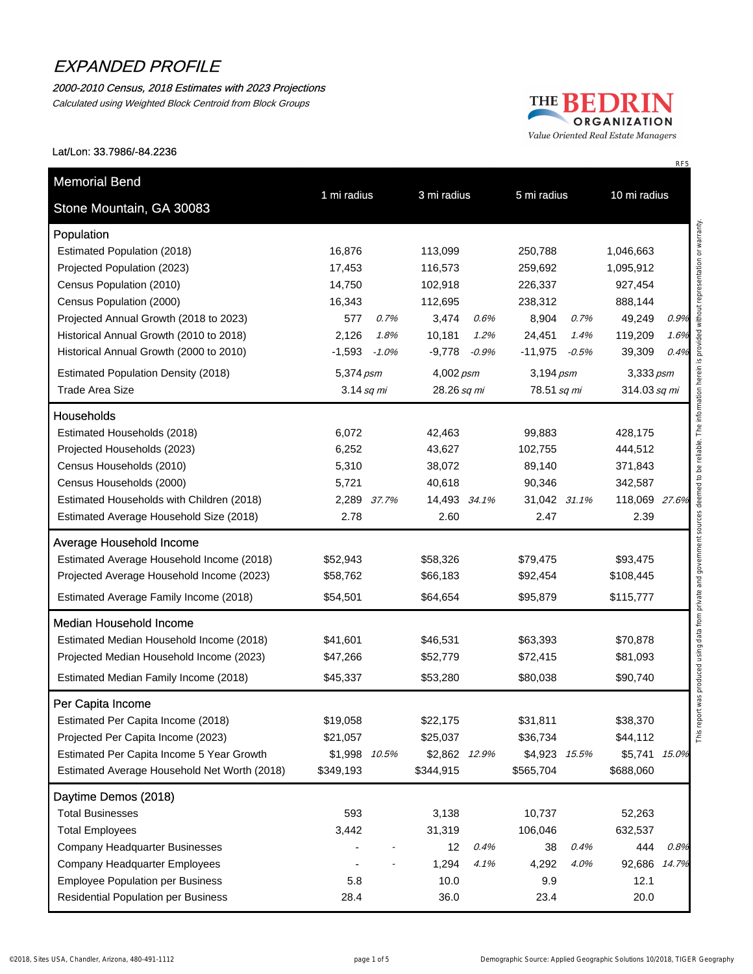#### 2000-2010 Census, 2018 Estimates with 2023 Projections

Calculated using Weighted Block Centroid from Block Groups



Value Oriented Real Estate Managers

#### Lat/Lon: 33.7986/-84.2236

| Stone Mountain, GA 30083                     | 1 mi radius   |         | 3 mi radius<br>5 mi radius |             |               | 10 mi radius |               |      |
|----------------------------------------------|---------------|---------|----------------------------|-------------|---------------|--------------|---------------|------|
| Population                                   |               |         |                            |             |               |              |               |      |
| Estimated Population (2018)                  | 16,876        |         | 113,099                    |             | 250,788       |              | 1,046,663     |      |
| Projected Population (2023)                  | 17,453        |         | 116,573                    |             | 259,692       |              | 1,095,912     |      |
| Census Population (2010)                     | 14,750        |         | 102,918                    |             | 226,337       |              | 927,454       |      |
| Census Population (2000)                     | 16,343        |         | 112,695                    |             | 238,312       |              | 888,144       |      |
| Projected Annual Growth (2018 to 2023)       | 577           | 0.7%    | 3,474                      | 0.6%        | 8,904         | 0.7%         | 49,249        | 0.9% |
| Historical Annual Growth (2010 to 2018)      | 2,126         | 1.8%    | 10,181                     | 1.2%        | 24,451        | 1.4%         | 119,209       | 1.6% |
| Historical Annual Growth (2000 to 2010)      | $-1,593$      | $-1.0%$ | $-9,778$                   | $-0.9\%$    | $-11,975$     | $-0.5%$      | 39,309        | 0.4% |
| <b>Estimated Population Density (2018)</b>   | 5,374 psm     |         | 4,002 psm                  |             | 3,194 psm     |              | 3,333 psm     |      |
| <b>Trade Area Size</b>                       | $3.14$ sq mi  |         |                            | 28.26 sq mi |               | 78.51 sq mi  | 314.03 sq mi  |      |
| Households                                   |               |         |                            |             |               |              |               |      |
| Estimated Households (2018)                  | 6,072         |         | 42,463                     |             | 99,883        |              | 428,175       |      |
| Projected Households (2023)                  | 6,252         |         | 43,627                     |             | 102,755       |              | 444,512       |      |
| Census Households (2010)                     | 5,310         |         | 38,072                     |             | 89,140        |              | 371,843       |      |
| Census Households (2000)                     | 5,721         |         | 40,618                     |             | 90,346        |              | 342,587       |      |
| Estimated Households with Children (2018)    | 2,289 37.7%   |         | 14,493 34.1%               |             | 31,042 31.1%  |              | 118,069 27.6% |      |
| Estimated Average Household Size (2018)      | 2.78          |         | 2.60                       |             | 2.47          |              | 2.39          |      |
| <b>Average Household Income</b>              |               |         |                            |             |               |              |               |      |
| Estimated Average Household Income (2018)    | \$52,943      |         | \$58,326                   |             | \$79,475      |              | \$93,475      |      |
| Projected Average Household Income (2023)    | \$58,762      |         | \$66,183                   |             | \$92,454      |              | \$108,445     |      |
| Estimated Average Family Income (2018)       | \$54,501      |         | \$64,654                   |             | \$95,879      |              | \$115,777     |      |
| <b>Median Household Income</b>               |               |         |                            |             |               |              |               |      |
| Estimated Median Household Income (2018)     | \$41,601      |         | \$46,531                   |             | \$63,393      |              | \$70,878      |      |
| Projected Median Household Income (2023)     | \$47,266      |         | \$52,779                   |             | \$72,415      |              | \$81,093      |      |
| Estimated Median Family Income (2018)        | \$45,337      |         | \$53,280                   |             | \$80,038      |              | \$90,740      |      |
| Per Capita Income                            |               |         |                            |             |               |              |               |      |
| Estimated Per Capita Income (2018)           | \$19,058      |         | \$22,175                   |             | \$31,811      |              | \$38,370      |      |
| Projected Per Capita Income (2023)           | \$21,057      |         | \$25,037                   |             | \$36,734      |              | \$44,112      |      |
| Estimated Per Capita Income 5 Year Growth    | \$1,998 10.5% |         | \$2,862 12.9%              |             | \$4,923 15.5% |              | \$5,741 15.0% |      |
| Estimated Average Household Net Worth (2018) | \$349,193     |         | \$344,915                  |             | \$565,704     |              | \$688,060     |      |
| Daytime Demos (2018)                         |               |         |                            |             |               |              |               |      |
| <b>Total Businesses</b>                      | 593           |         | 3,138                      |             | 10,737        |              | 52,263        |      |
| <b>Total Employees</b>                       | 3,442         |         | 31,319                     |             | 106,046       |              | 632,537       |      |
| <b>Company Headquarter Businesses</b>        |               |         | 12                         | 0.4%        | 38            | 0.4%         | 444           | 0.8% |
| Company Headquarter Employees                |               |         | 1,294                      | 4.1%        | 4,292         | 4.0%         | 92,686 14.7%  |      |
| <b>Employee Population per Business</b>      | 5.8           |         | 10.0                       |             | 9.9           |              | 12.1          |      |
| <b>Residential Population per Business</b>   | 28.4          |         | 36.0                       |             | 23.4          |              | 20.0          |      |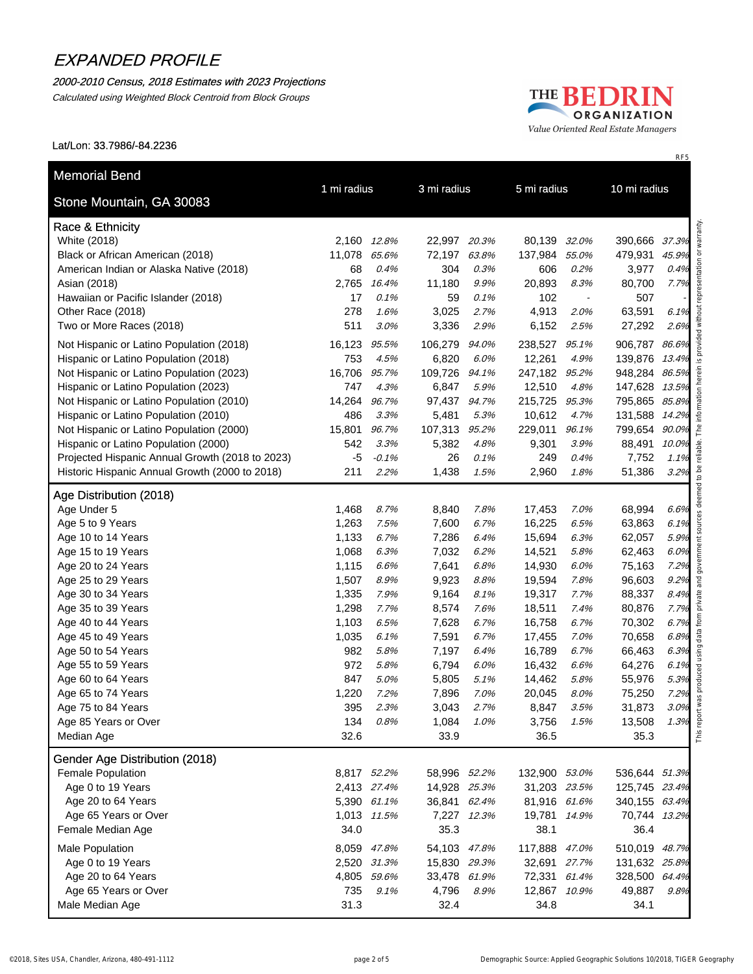### 2000-2010 Census, 2018 Estimates with 2023 Projections

Calculated using Weighted Block Centroid from Block Groups

### THE BEDRIN ORGANIZATION Value Oriented Real Estate Managers

RF5

#### Lat/Lon: 33.7986/-84.2236

| Stone Mountain, GA 30083                                                         | 1 mi radius   |               | 3 mi radius     |               |                   | 5 mi radius                      |                                | 10 mi radius |  |
|----------------------------------------------------------------------------------|---------------|---------------|-----------------|---------------|-------------------|----------------------------------|--------------------------------|--------------|--|
|                                                                                  |               |               |                 |               |                   |                                  |                                |              |  |
| Race & Ethnicity                                                                 |               |               |                 |               |                   |                                  |                                |              |  |
| White (2018)                                                                     | 2,160         | 12.8%         | 22,997 20.3%    |               | 80,139            | 32.0%                            | 390,666 37.3%                  |              |  |
| Black or African American (2018)                                                 | 11,078        | 65.6%         | 72,197          | 63.8%         | 137,984           | 55.0%                            | 479,931                        | 45.9%        |  |
| American Indian or Alaska Native (2018)                                          | 68            | 0.4%          | 304             | 0.3%          | 606               | 0.2%                             | 3,977                          | 0.4%         |  |
| Asian (2018)                                                                     | 2,765<br>17   | 16.4%<br>0.1% | 11,180<br>59    | 9.9%<br>0.1%  | 20,893<br>102     | 8.3%                             | 80,700<br>507                  | 7.7%         |  |
| Hawaiian or Pacific Islander (2018)<br>Other Race (2018)                         | 278           | 1.6%          | 3,025           | 2.7%          | 4,913             | $\overline{\phantom{a}}$<br>2.0% | 63,591                         | 6.1%         |  |
| Two or More Races (2018)                                                         | 511           | 3.0%          | 3,336           | 2.9%          | 6,152             | 2.5%                             | 27,292                         | 2.6%         |  |
|                                                                                  |               |               |                 |               |                   |                                  |                                |              |  |
| Not Hispanic or Latino Population (2018)                                         | 16,123        | 95.5%         | 106,279         | 94.0%         | 238,527           | 95.1%                            | 906,787 86.6%                  |              |  |
| Hispanic or Latino Population (2018)                                             | 753           | 4.5%          | 6,820           | 6.0%          | 12,261            | 4.9%                             | 139,876 13.4%                  |              |  |
| Not Hispanic or Latino Population (2023)                                         | 16,706<br>747 | 95.7%<br>4.3% | 109,726         | 94.1%<br>5.9% | 247,182<br>12,510 | 95.2%<br>4.8%                    | 948,284 86.5%<br>147,628 13.5% |              |  |
| Hispanic or Latino Population (2023)                                             | 14,264        | 96.7%         | 6,847<br>97,437 | 94.7%         | 215,725           | 95.3%                            | 795,865 85.8%                  |              |  |
| Not Hispanic or Latino Population (2010)<br>Hispanic or Latino Population (2010) | 486           | 3.3%          | 5,481           | 5.3%          | 10,612            | 4.7%                             | 131,588 14.2%                  |              |  |
| Not Hispanic or Latino Population (2000)                                         | 15,801        | 96.7%         | 107,313         | 95.2%         | 229,011           | 96.1%                            | 799,654 90.0%                  |              |  |
| Hispanic or Latino Population (2000)                                             | 542           | 3.3%          | 5,382           | 4.8%          | 9,301             | 3.9%                             | 88,491                         | 10.0%        |  |
| Projected Hispanic Annual Growth (2018 to 2023)                                  | -5            | $-0.1%$       | 26              | 0.1%          | 249               | 0.4%                             | 7,752                          | 1.1%         |  |
| Historic Hispanic Annual Growth (2000 to 2018)                                   | 211           | 2.2%          | 1,438           | 1.5%          | 2,960             | 1.8%                             | 51,386                         | 3.2%         |  |
|                                                                                  |               |               |                 |               |                   |                                  |                                |              |  |
| Age Distribution (2018)<br>Age Under 5                                           | 1,468         | 8.7%          | 8,840           | 7.8%          | 17,453            | 7.0%                             | 68,994                         | 6.6%         |  |
| Age 5 to 9 Years                                                                 | 1,263         | 7.5%          | 7,600           | 6.7%          | 16,225            | 6.5%                             | 63,863                         | 6.1%         |  |
| Age 10 to 14 Years                                                               | 1,133         | 6.7%          | 7,286           | 6.4%          | 15,694            | 6.3%                             | 62,057                         | 5.9%         |  |
| Age 15 to 19 Years                                                               | 1,068         | 6.3%          | 7,032           | 6.2%          | 14,521            | 5.8%                             | 62,463                         | 6.0%         |  |
| Age 20 to 24 Years                                                               | 1,115         | 6.6%          | 7,641           | 6.8%          | 14,930            | 6.0%                             | 75,163                         | 7.2%         |  |
| Age 25 to 29 Years                                                               | 1,507         | 8.9%          | 9,923           | 8.8%          | 19,594            | 7.8%                             | 96,603                         | 9.2%         |  |
| Age 30 to 34 Years                                                               | 1,335         | 7.9%          | 9,164           | 8.1%          | 19,317            | 7.7%                             | 88,337                         | 8.4%         |  |
| Age 35 to 39 Years                                                               | 1,298         | 7.7%          | 8,574           | 7.6%          | 18,511            | 7.4%                             | 80,876                         | 7.7%         |  |
| Age 40 to 44 Years                                                               | 1,103         | 6.5%          | 7,628           | 6.7%          | 16,758            | 6.7%                             | 70,302                         | 6.7%         |  |
| Age 45 to 49 Years                                                               | 1,035         | 6.1%          | 7,591           | 6.7%          | 17,455            | 7.0%                             | 70,658                         | 6.8%         |  |
| Age 50 to 54 Years                                                               | 982           | 5.8%          | 7,197           | 6.4%          | 16,789            | 6.7%                             | 66,463                         | 6.3%         |  |
| Age 55 to 59 Years                                                               | 972           | 5.8%          | 6,794           | 6.0%          | 16,432            | 6.6%                             | 64,276                         | 6.1%         |  |
| Age 60 to 64 Years                                                               | 847           | 5.0%          | 5,805           | 5.1%          | 14,462            | 5.8%                             | 55,976                         | 5.3%         |  |
| Age 65 to 74 Years                                                               | 1,220         | 7.2%          | 7,896           | 7.0%          | 20,045            | $8.0\%$                          | 75,250                         | 7.2%         |  |
| Age 75 to 84 Years                                                               | 395           | 2.3%          | 3,043           | 2.7%          | 8,847             | 3.5%                             | 31,873                         | 3.0%         |  |
| Age 85 Years or Over                                                             | 134           | 0.8%          | 1,084           | 1.0%          | 3,756             | 1.5%                             | 13,508                         | 1.3%         |  |
| Median Age                                                                       | 32.6          |               | 33.9            |               | 36.5              |                                  | 35.3                           |              |  |
| Gender Age Distribution (2018)                                                   |               |               |                 |               |                   |                                  |                                |              |  |
| Female Population                                                                |               | 8,817 52.2%   | 58,996 52.2%    |               | 132,900 53.0%     |                                  | 536,644 51.3%                  |              |  |
| Age 0 to 19 Years                                                                |               | 2,413 27.4%   | 14,928 25.3%    |               | 31,203 23.5%      |                                  | 125,745 23.4%                  |              |  |
| Age 20 to 64 Years                                                               |               | 5,390 61.1%   | 36,841 62.4%    |               | 81,916 61.6%      |                                  | 340,155 63.4%                  |              |  |
| Age 65 Years or Over                                                             |               | 1,013 11.5%   |                 | 7,227 12.3%   | 19,781 14.9%      |                                  | 70,744 13.2%                   |              |  |
| Female Median Age                                                                | 34.0          |               | 35.3            |               | 38.1              |                                  | 36.4                           |              |  |
| Male Population                                                                  |               | 8,059 47.8%   | 54,103 47.8%    |               | 117,888 47.0%     |                                  | 510,019 48.7%                  |              |  |
| Age 0 to 19 Years                                                                |               | 2,520 31.3%   | 15,830 29.3%    |               | 32,691 27.7%      |                                  | 131,632 25.8%                  |              |  |
| Age 20 to 64 Years                                                               |               | 4,805 59.6%   | 33,478 61.9%    |               | 72,331 61.4%      |                                  | 328,500 64.4%                  |              |  |
| Age 65 Years or Over                                                             | 735           | 9.1%          |                 | 4,796 8.9%    | 12,867 10.9%      |                                  | 49,887                         | 9.8%         |  |
| Male Median Age                                                                  | 31.3          |               | 32.4            |               | 34.8              |                                  | 34.1                           |              |  |
|                                                                                  |               |               |                 |               |                   |                                  |                                |              |  |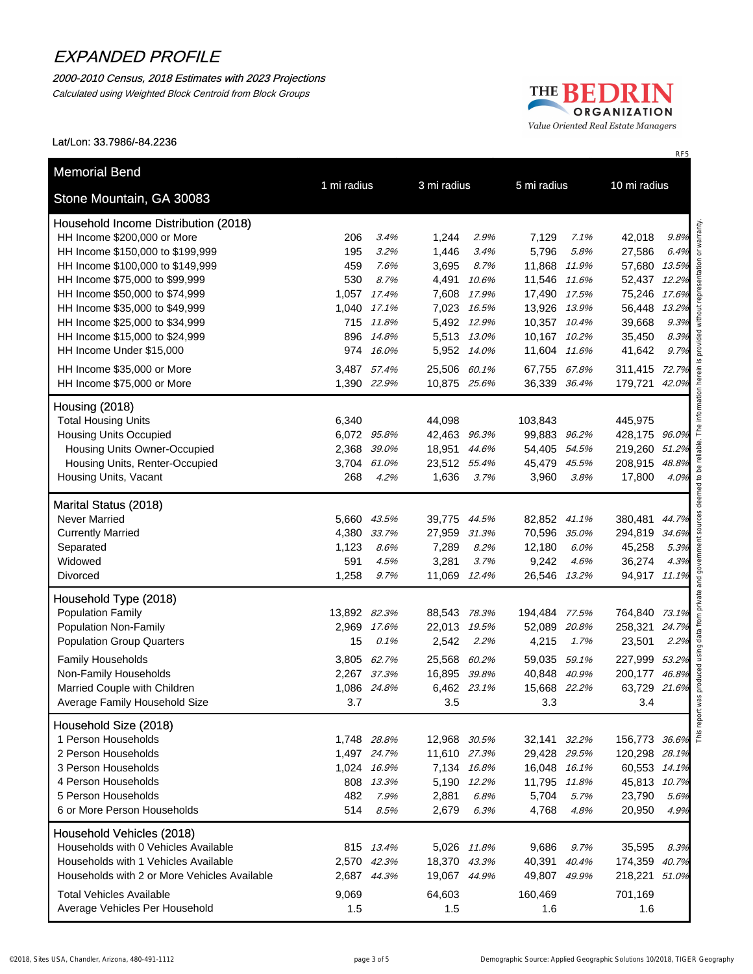#### 2000-2010 Census, 2018 Estimates with 2023 Projections

Calculated using Weighted Block Centroid from Block Groups

### THE BEDRIN ORGANIZATION Value Oriented Real Estate Managers

Lat/Lon: 33.7986/-84.2236

| Stone Mountain, GA 30083                     | 1 mi radius  |             | 3 mi radius  |             | 5 mi radius   |       | 10 mi radius  |       |
|----------------------------------------------|--------------|-------------|--------------|-------------|---------------|-------|---------------|-------|
| Household Income Distribution (2018)         |              |             |              |             |               |       |               |       |
| HH Income \$200,000 or More                  | 206          | 3.4%        | 1,244        | 2.9%        | 7,129         | 7.1%  | 42,018        | 9.8%  |
| HH Income \$150,000 to \$199,999             | 195          | 3.2%        | 1,446        | 3.4%        | 5,796         | 5.8%  | 27,586        | 6.4%  |
| HH Income \$100,000 to \$149,999             | 459          | 7.6%        | 3,695        | 8.7%        | 11,868        | 11.9% | 57,680        | 13.5% |
| HH Income \$75,000 to \$99,999               | 530          | 8.7%        | 4,491        | 10.6%       | 11,546 11.6%  |       | 52,437 12.2%  |       |
| HH Income \$50,000 to \$74,999               | 1,057        | 17.4%       | 7,608        | 17.9%       | 17,490 17.5%  |       | 75,246        | 17.6% |
| HH Income \$35,000 to \$49,999               | 1,040        | 17.1%       | 7,023        | 16.5%       | 13,926 13.9%  |       | 56,448        | 13.2% |
| HH Income \$25,000 to \$34,999               | 715          | 11.8%       | 5,492        | 12.9%       | 10,357 10.4%  |       | 39,668        | 9.3%  |
| HH Income \$15,000 to \$24,999               | 896          | 14.8%       |              | 5,513 13.0% | 10,167 10.2%  |       | 35,450        | 8.3%  |
| HH Income Under \$15,000                     | 974          | 16.0%       |              | 5,952 14.0% | 11,604 11.6%  |       | 41,642        | 9.7%  |
|                                              |              |             |              |             |               |       |               |       |
| HH Income \$35,000 or More                   |              | 3,487 57.4% | 25,506 60.1% |             | 67,755 67.8%  |       | 311,415 72.7% |       |
| HH Income \$75,000 or More                   |              | 1,390 22.9% | 10,875 25.6% |             | 36,339 36.4%  |       | 179,721 42.0% |       |
| Housing (2018)                               |              |             |              |             |               |       |               |       |
| <b>Total Housing Units</b>                   | 6,340        |             | 44,098       |             | 103,843       |       | 445,975       |       |
| <b>Housing Units Occupied</b>                |              | 6,072 95.8% | 42,463 96.3% |             | 99,883 96.2%  |       | 428,175 96.0% |       |
| Housing Units Owner-Occupied                 |              | 2,368 39.0% | 18,951       | 44.6%       | 54,405 54.5%  |       | 219,260 51.2% |       |
| Housing Units, Renter-Occupied               |              | 3,704 61.0% | 23,512 55.4% |             | 45,479 45.5%  |       | 208,915 48.8% |       |
| Housing Units, Vacant                        | 268          | 4.2%        | 1,636        | 3.7%        | 3,960         | 3.8%  | 17,800        | 4.0%  |
| Marital Status (2018)                        |              |             |              |             |               |       |               |       |
| <b>Never Married</b>                         |              | 5,660 43.5% | 39,775 44.5% |             | 82,852 41.1%  |       | 380,481 44.7% |       |
| <b>Currently Married</b>                     | 4,380        | 33.7%       | 27,959 31.3% |             | 70,596 35.0%  |       | 294,819 34.6% |       |
| Separated                                    | 1,123        | 8.6%        | 7,289        | 8.2%        | 12,180        | 6.0%  | 45,258        | 5.3%  |
| Widowed                                      | 591          | 4.5%        | 3,281        | 3.7%        | 9,242         | 4.6%  | 36,274        | 4.3%  |
| Divorced                                     | 1,258        | 9.7%        | 11,069 12.4% |             | 26,546 13.2%  |       | 94,917 11.1%  |       |
| Household Type (2018)                        |              |             |              |             |               |       |               |       |
| <b>Population Family</b>                     | 13,892 82.3% |             | 88,543 78.3% |             | 194,484 77.5% |       | 764,840 73.1% |       |
| Population Non-Family                        |              | 2,969 17.6% | 22,013 19.5% |             | 52,089        | 20.8% | 258,321       | 24.7% |
| <b>Population Group Quarters</b>             | 15           | 0.1%        | 2,542        | 2.2%        | 4,215         | 1.7%  | 23,501        | 2.2%  |
| Family Households                            |              | 3,805 62.7% | 25,568       | 60.2%       | 59,035 59.1%  |       | 227,999 53.2% |       |
| Non-Family Households                        |              | 2,267 37.3% | 16,895 39.8% |             | 40,848 40.9%  |       | 200,177 46.8% |       |
| Married Couple with Children                 |              | 1,086 24.8% |              | 6,462 23.1% | 15,668 22.2%  |       | 63,729 21.6%  |       |
| Average Family Household Size                | 3.7          |             | 3.5          |             | 3.3           |       | 3.4           |       |
| Household Size (2018)                        |              |             |              |             |               |       |               |       |
| 1 Person Households                          |              | 1,748 28.8% | 12,968 30.5% |             | 32,141 32.2%  |       | 156,773 36.6% |       |
| 2 Person Households                          |              | 1,497 24.7% | 11,610 27.3% |             | 29,428 29.5%  |       | 120,298 28.1% |       |
| 3 Person Households                          |              | 1,024 16.9% |              | 7,134 16.8% | 16,048 16.1%  |       | 60,553 14.1%  |       |
| 4 Person Households                          |              | 808 13.3%   |              | 5,190 12.2% | 11,795 11.8%  |       | 45,813 10.7%  |       |
| 5 Person Households                          | 482          | 7.9%        | 2,881        | 6.8%        | 5,704         | 5.7%  | 23,790        | 5.6%  |
| 6 or More Person Households                  | 514          | 8.5%        | 2,679        | 6.3%        | 4,768         | 4.8%  | 20,950        | 4.9%  |
| Household Vehicles (2018)                    |              |             |              |             |               |       |               |       |
| Households with 0 Vehicles Available         |              | 815 13.4%   |              | 5,026 11.8% | 9,686         | 9.7%  | 35,595        | 8.3%  |
| Households with 1 Vehicles Available         |              | 2,570 42.3% | 18,370 43.3% |             | 40,391 40.4%  |       | 174,359 40.7% |       |
| Households with 2 or More Vehicles Available |              | 2,687 44.3% | 19,067 44.9% |             | 49,807 49.9%  |       | 218,221 51.0% |       |
| <b>Total Vehicles Available</b>              | 9,069        |             | 64,603       |             | 160,469       |       | 701,169       |       |
| Average Vehicles Per Household               | 1.5          |             | 1.5          |             | 1.6           |       | 1.6           |       |
|                                              |              |             |              |             |               |       |               |       |

RF5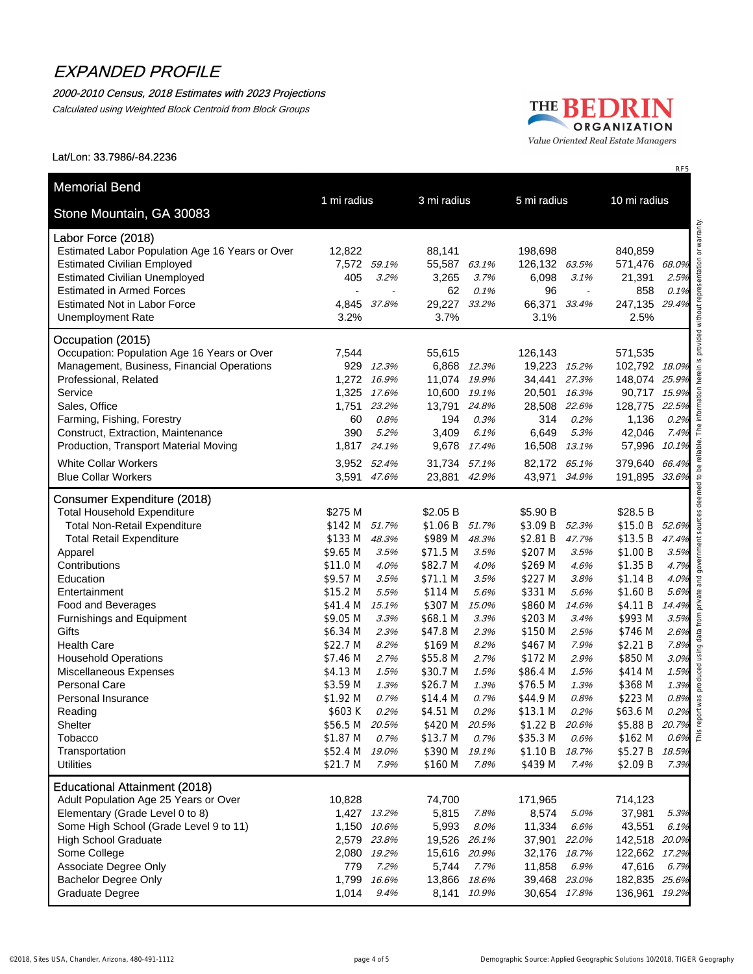#### 2000-2010 Census, 2018 Estimates with 2023 Projections

Calculated using Weighted Block Centroid from Block Groups



#### Lat/Lon: 33.7986/-84.2236

| Labor Force (2018)                                        |                            |                            |                              |       |                              |                       |                            |                                                                                  |
|-----------------------------------------------------------|----------------------------|----------------------------|------------------------------|-------|------------------------------|-----------------------|----------------------------|----------------------------------------------------------------------------------|
| Estimated Labor Population Age 16 Years or Over           | 12,822                     |                            | 88,141                       |       | 198,698                      |                       | 840,859                    |                                                                                  |
| <b>Estimated Civilian Employed</b>                        | 7,572                      | 59.1%                      | 55,587 63.1%                 |       | 126,132                      | 63.5%                 | 571,476                    | 68.0%                                                                            |
| <b>Estimated Civilian Unemployed</b>                      | 405                        | 3.2%                       | 3,265                        | 3.7%  | 6,098                        | 3.1%                  | 21,391                     | 2.5%                                                                             |
| <b>Estimated in Armed Forces</b>                          |                            |                            | 62                           | 0.1%  | 96                           | $\tilde{\phantom{a}}$ | 858                        | 0.1%                                                                             |
| <b>Estimated Not in Labor Force</b>                       | 4,845                      | 37.8%                      | 29,227                       | 33.2% | 66,371                       | 33.4%                 | 247,135 29.4%              |                                                                                  |
| <b>Unemployment Rate</b>                                  | 3.2%                       |                            | 3.7%                         |       | 3.1%                         |                       | 2.5%                       |                                                                                  |
| Occupation (2015)                                         |                            |                            |                              |       |                              |                       |                            |                                                                                  |
| Occupation: Population Age 16 Years or Over               | 7,544                      |                            | 55,615                       |       | 126,143                      |                       | 571,535                    |                                                                                  |
| Management, Business, Financial Operations                | 929                        | 12.3%                      | 6,868                        | 12.3% | 19,223 15.2%                 |                       | 102,792 18.0%              |                                                                                  |
| Professional, Related                                     | 1,272                      | 16.9%                      | 11,074                       | 19.9% | 34,441                       | 27.3%                 | 148,074 25.9%              |                                                                                  |
| Service                                                   | 1,325                      | 17.6%                      | 10,600                       | 19.1% | 20,501                       | 16.3%                 | 90,717 15.9%               |                                                                                  |
| Sales, Office                                             | 1,751                      | 23.2%                      | 13,791                       | 24.8% | 28,508                       | 22.6%                 | 128,775 22.5%              |                                                                                  |
| Farming, Fishing, Forestry                                | 60                         | 0.8%                       | 194                          | 0.3%  | 314                          | 0.2%                  | 1,136                      | 0.2%                                                                             |
| Construct, Extraction, Maintenance                        | 390                        | 5.2%                       | 3,409                        | 6.1%  | 6,649                        | 5.3%                  | 42,046                     | 7.4%                                                                             |
| Production, Transport Material Moving                     | 1,817                      | 24.1%                      | 9,678 17.4%                  |       | 16,508                       | 13.1%                 | 57,996                     | 10.1%                                                                            |
| <b>White Collar Workers</b><br><b>Blue Collar Workers</b> |                            | 3,952 52.4%<br>3,591 47.6% | 31,734 57.1%<br>23,881 42.9% |       | 82,172 65.1%<br>43,971 34.9% |                       | 379,640<br>191,895 33.6%   | 66.4%                                                                            |
| <b>Consumer Expenditure (2018)</b>                        |                            |                            |                              |       |                              |                       |                            |                                                                                  |
| <b>Total Household Expenditure</b>                        | \$275 M                    |                            | \$2.05 B                     |       | \$5.90 B                     |                       | \$28.5 B                   |                                                                                  |
| <b>Total Non-Retail Expenditure</b>                       | \$142 M 51.7%              |                            | \$1.06 B 51.7%               |       | \$3.09 B 52.3%               |                       | \$15.0 B 52.6%             |                                                                                  |
| <b>Total Retail Expenditure</b>                           | \$133 M                    | 48.3%                      | \$989 M                      | 48.3% | \$2.81 B                     | 47.7%                 | \$13.5 B 47.4%             |                                                                                  |
| Apparel                                                   | \$9.65 M                   | 3.5%                       | \$71.5 M                     | 3.5%  | \$207 M                      | 3.5%                  | \$1.00 B                   | 3.5%                                                                             |
| Contributions                                             | \$11.0 M                   | 4.0%                       | \$82.7 M                     | 4.0%  | \$269 M                      | 4.6%                  | \$1.35 B                   | 4.7%                                                                             |
| Education                                                 | \$9.57 M                   | 3.5%                       | \$71.1 M                     | 3.5%  | \$227 M                      | 3.8%                  | \$1.14 B                   | 4.0%                                                                             |
| Entertainment                                             | \$15.2 M                   | 5.5%                       | \$114 M                      | 5.6%  | \$331 M                      | 5.6%                  | \$1.60 B                   | 5.6%                                                                             |
| Food and Beverages                                        | \$41.4 M                   | 15.1%                      | \$307 M                      | 15.0% | \$860 M                      | 14.6%                 | \$4.11 B                   | 14.4%                                                                            |
| Furnishings and Equipment                                 | \$9.05 M                   | 3.3%                       | \$68.1 M                     | 3.3%  | \$203 M                      | 3.4%                  | \$993 M                    | 3.5%                                                                             |
| Gifts                                                     | \$6.34 M                   | 2.3%                       | \$47.8 M                     | 2.3%  | \$150 M                      | 2.5%                  | \$746 M                    | 2.6%                                                                             |
| <b>Health Care</b>                                        | \$22.7 M                   | 8.2%                       | \$169 M                      | 8.2%  | \$467 M                      | 7.9%                  | \$2.21 B                   | 7.8%                                                                             |
| <b>Household Operations</b>                               | \$7.46 M                   | 2.7%                       | \$55.8 M                     | 2.7%  | \$172 M                      | 2.9%                  | \$850 M                    | 3.0%                                                                             |
| Miscellaneous Expenses                                    | \$4.13 M                   | 1.5%                       | \$30.7 M                     | 1.5%  | \$86.4 M                     | 1.5%                  | \$414 M                    | 1.5%                                                                             |
| <b>Personal Care</b>                                      | \$3.59 M                   | 1.3%                       | \$26.7 M                     | 1.3%  | \$76.5 M                     | 1.3%                  | \$368 M                    | 1.3%                                                                             |
| Personal Insurance                                        | \$1.92 M                   | 0.7%                       | \$14.4 M                     | 0.7%  | \$44.9 M                     | 0.8%                  | \$223 M                    | 0.8%                                                                             |
| Reading                                                   | \$603K                     | 0.2%                       | \$4.51 M                     | 0.2%  | \$13.1 M                     | 0.2%                  | \$63.6 M                   | 0.2%                                                                             |
| Shelter                                                   | \$56.5 M 20.5%             |                            | \$420 M 20.5%                |       | \$1.22 B 20.6%               |                       | \$5.88 B 20.7%             | $0.2\%$<br>$\frac{1}{2}$<br>$0.7\%$<br>$\frac{1}{2}$<br>$0.6\%$<br>$\frac{1}{2}$ |
| Tobacco                                                   | \$1.87 M                   | 0.7%                       | \$13.7 M                     | 0.7%  | \$35.3 M                     | 0.6%                  | \$162 M                    |                                                                                  |
| Transportation<br><b>Utilities</b>                        | \$52.4 M 19.0%<br>\$21.7 M | 7.9%                       | \$390 M 19.1%<br>\$160 M     | 7.8%  | \$1.10 B 18.7%<br>\$439 M    | 7.4%                  | \$5.27 B 18.5%<br>\$2.09 B | 7.3%                                                                             |
| <b>Educational Attainment (2018)</b>                      |                            |                            |                              |       |                              |                       |                            |                                                                                  |
| Adult Population Age 25 Years or Over                     | 10,828                     |                            | 74,700                       |       | 171,965                      |                       | 714,123                    |                                                                                  |
| Elementary (Grade Level 0 to 8)                           |                            | 1,427 13.2%                | 5,815                        | 7.8%  | 8,574                        | 5.0%                  | 37,981                     | 5.3%                                                                             |
| Some High School (Grade Level 9 to 11)                    |                            | 1,150 10.6%                | 5,993                        | 8.0%  | 11,334                       | 6.6%                  | 43,551                     | 6.1%                                                                             |
| <b>High School Graduate</b>                               |                            | 2,579 23.8%                | 19,526 26.1%                 |       | 37,901 22.0%                 |                       | 142,518 20.0%              |                                                                                  |
| Some College                                              |                            | 2,080 19.2%                | 15,616 20.9%                 |       | 32,176 18.7%                 |                       | 122,662 17.2%              |                                                                                  |
| Associate Degree Only                                     | 779                        | 7.2%                       | 5,744                        | 7.7%  | 11,858                       | 6.9%                  | 47,616                     | 6.7%                                                                             |
| Bachelor Degree Only                                      | 1,799                      | 16.6%                      | 13,866 18.6%                 |       | 39,468 23.0%                 |                       | 182,835 25.6%              |                                                                                  |
| Graduate Degree                                           | 1,014                      | 9.4%                       | 8,141                        | 10.9% | 30,654 17.8%                 |                       | 136,961 19.2%              |                                                                                  |
|                                                           |                            |                            |                              |       |                              |                       |                            |                                                                                  |

RF5